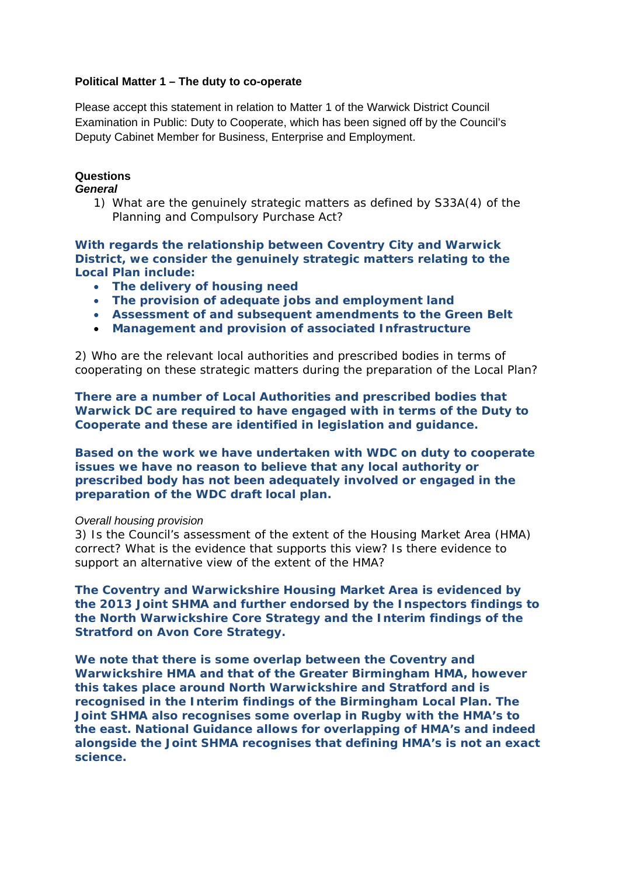## **Political Matter 1 – The duty to co-operate**

Please accept this statement in relation to Matter 1 of the Warwick District Council Examination in Public: Duty to Cooperate, which has been signed off by the Council's Deputy Cabinet Member for Business, Enterprise and Employment.

# **Questions**

### *General*

*1) What are the genuinely strategic matters as defined by S33A(4) of the Planning and Compulsory Purchase Act?* 

**With regards the relationship between Coventry City and Warwick District, we consider the genuinely strategic matters relating to the Local Plan include:** 

- **The delivery of housing need**
- **The provision of adequate jobs and employment land**
- **Assessment of and subsequent amendments to the Green Belt**
- **Management and provision of associated Infrastructure**

2) Who are the relevant local authorities and prescribed bodies in terms of cooperating on these strategic matters during the preparation of the Local Plan?

**There are a number of Local Authorities and prescribed bodies that Warwick DC are required to have engaged with in terms of the Duty to Cooperate and these are identified in legislation and guidance.** 

**Based on the work we have undertaken with WDC on duty to cooperate issues we have no reason to believe that any local authority or prescribed body has not been adequately involved or engaged in the preparation of the WDC draft local plan.** 

#### *Overall housing provision*

3) Is the Council's assessment of the extent of the Housing Market Area (HMA) correct? What is the evidence that supports this view? Is there evidence to support an alternative view of the extent of the HMA?

**The Coventry and Warwickshire Housing Market Area is evidenced by the 2013 Joint SHMA and further endorsed by the Inspectors findings to the North Warwickshire Core Strategy and the Interim findings of the Stratford on Avon Core Strategy.** 

**We note that there is some overlap between the Coventry and Warwickshire HMA and that of the Greater Birmingham HMA, however this takes place around North Warwickshire and Stratford and is recognised in the Interim findings of the Birmingham Local Plan. The Joint SHMA also recognises some overlap in Rugby with the HMA's to the east. National Guidance allows for overlapping of HMA's and indeed alongside the Joint SHMA recognises that defining HMA's is not an exact science.**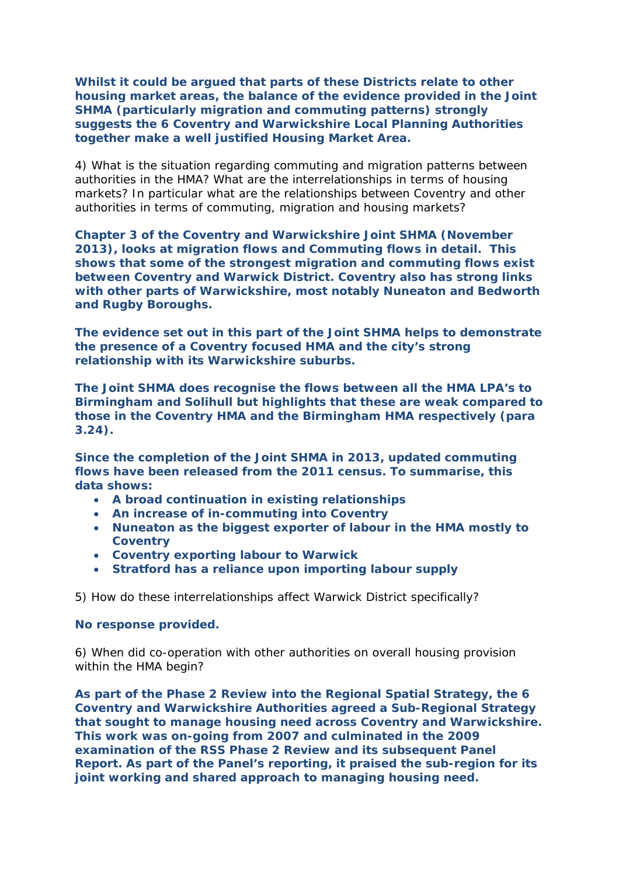**Whilst it could be argued that parts of these Districts relate to other housing market areas, the balance of the evidence provided in the Joint SHMA (particularly migration and commuting patterns) strongly suggests the 6 Coventry and Warwickshire Local Planning Authorities together make a well justified Housing Market Area.** 

4) What is the situation regarding commuting and migration patterns between authorities in the HMA? What are the interrelationships in terms of housing markets? In particular what are the relationships between Coventry and other authorities in terms of commuting, migration and housing markets?

**Chapter 3 of the Coventry and Warwickshire Joint SHMA (November 2013), looks at migration flows and Commuting flows in detail. This shows that some of the strongest migration and commuting flows exist between Coventry and Warwick District. Coventry also has strong links with other parts of Warwickshire, most notably Nuneaton and Bedworth and Rugby Boroughs.** 

**The evidence set out in this part of the Joint SHMA helps to demonstrate the presence of a Coventry focused HMA and the city's strong relationship with its Warwickshire suburbs.** 

**The Joint SHMA does recognise the flows between all the HMA LPA's to Birmingham and Solihull but highlights that these are weak compared to those in the Coventry HMA and the Birmingham HMA respectively (para 3.24).** 

**Since the completion of the Joint SHMA in 2013, updated commuting flows have been released from the 2011 census. To summarise, this data shows:** 

- **A broad continuation in existing relationships**
- **An increase of in-commuting into Coventry**
- **Nuneaton as the biggest exporter of labour in the HMA mostly to Coventry**
- **Coventry exporting labour to Warwick**
- **Stratford has a reliance upon importing labour supply**

5) How do these interrelationships affect Warwick District specifically?

### **No response provided.**

6) When did co-operation with other authorities on overall housing provision within the HMA begin?

**As part of the Phase 2 Review into the Regional Spatial Strategy, the 6 Coventry and Warwickshire Authorities agreed a Sub-Regional Strategy that sought to manage housing need across Coventry and Warwickshire. This work was on-going from 2007 and culminated in the 2009 examination of the RSS Phase 2 Review and its subsequent Panel Report. As part of the Panel's reporting, it praised the sub-region for its joint working and shared approach to managing housing need.**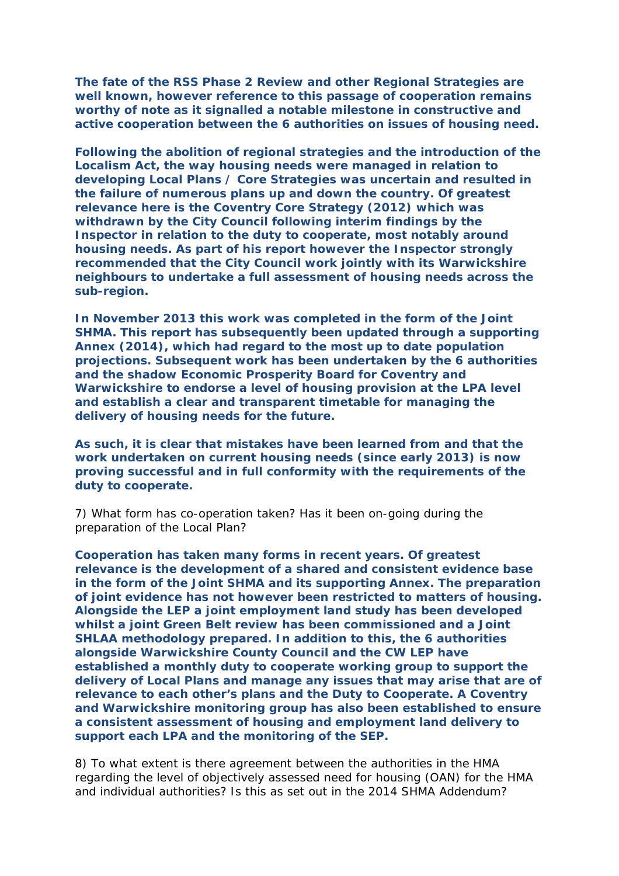**The fate of the RSS Phase 2 Review and other Regional Strategies are well known, however reference to this passage of cooperation remains worthy of note as it signalled a notable milestone in constructive and active cooperation between the 6 authorities on issues of housing need.** 

**Following the abolition of regional strategies and the introduction of the Localism Act, the way housing needs were managed in relation to developing Local Plans / Core Strategies was uncertain and resulted in the failure of numerous plans up and down the country. Of greatest relevance here is the Coventry Core Strategy (2012) which was withdrawn by the City Council following interim findings by the Inspector in relation to the duty to cooperate, most notably around housing needs. As part of his report however the Inspector strongly recommended that the City Council work jointly with its Warwickshire neighbours to undertake a full assessment of housing needs across the sub-region.** 

**In November 2013 this work was completed in the form of the Joint SHMA. This report has subsequently been updated through a supporting Annex (2014), which had regard to the most up to date population projections. Subsequent work has been undertaken by the 6 authorities and the shadow Economic Prosperity Board for Coventry and Warwickshire to endorse a level of housing provision at the LPA level and establish a clear and transparent timetable for managing the delivery of housing needs for the future.** 

**As such, it is clear that mistakes have been learned from and that the work undertaken on current housing needs (since early 2013) is now proving successful and in full conformity with the requirements of the duty to cooperate.**

7) What form has co-operation taken? Has it been on-going during the preparation of the Local Plan?

**Cooperation has taken many forms in recent years. Of greatest relevance is the development of a shared and consistent evidence base in the form of the Joint SHMA and its supporting Annex. The preparation of joint evidence has not however been restricted to matters of housing. Alongside the LEP a joint employment land study has been developed whilst a joint Green Belt review has been commissioned and a Joint SHLAA methodology prepared. In addition to this, the 6 authorities alongside Warwickshire County Council and the CW LEP have established a monthly duty to cooperate working group to support the delivery of Local Plans and manage any issues that may arise that are of relevance to each other's plans and the Duty to Cooperate. A Coventry and Warwickshire monitoring group has also been established to ensure a consistent assessment of housing and employment land delivery to support each LPA and the monitoring of the SEP.** 

8) To what extent is there agreement between the authorities in the HMA regarding the level of objectively assessed need for housing (OAN) for the HMA and individual authorities? Is this as set out in the 2014 SHMA Addendum?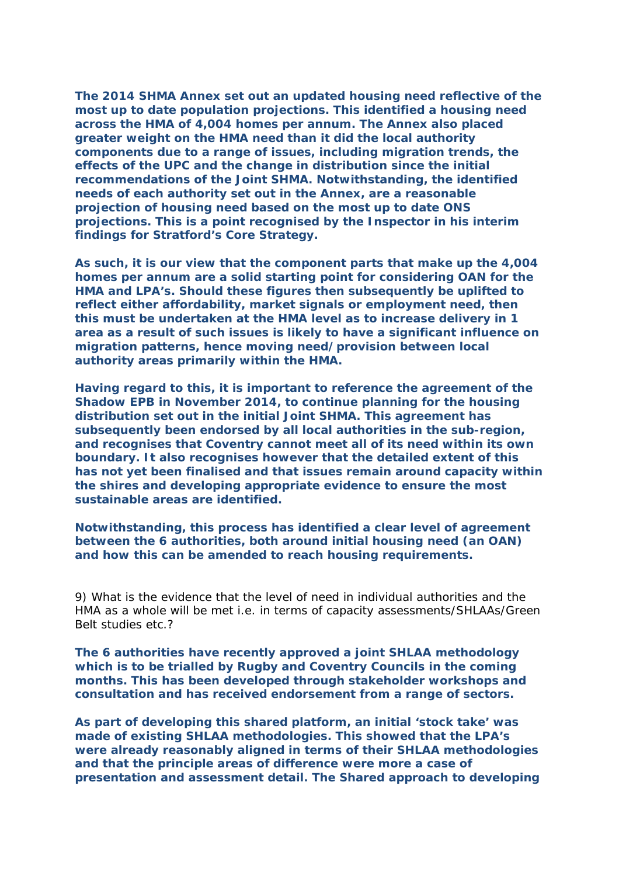**The 2014 SHMA Annex set out an updated housing need reflective of the most up to date population projections. This identified a housing need across the HMA of 4,004 homes per annum. The Annex also placed greater weight on the HMA need than it did the local authority components due to a range of issues, including migration trends, the effects of the UPC and the change in distribution since the initial recommendations of the Joint SHMA. Notwithstanding, the identified needs of each authority set out in the Annex, are a reasonable projection of housing need based on the most up to date ONS projections. This is a point recognised by the Inspector in his interim findings for Stratford's Core Strategy.** 

**As such, it is our view that the component parts that make up the 4,004 homes per annum are a solid starting point for considering OAN for the HMA and LPA's. Should these figures then subsequently be uplifted to reflect either affordability, market signals or employment need, then this must be undertaken at the HMA level as to increase delivery in 1 area as a result of such issues is likely to have a significant influence on migration patterns, hence moving need/provision between local authority areas primarily within the HMA.** 

**Having regard to this, it is important to reference the agreement of the Shadow EPB in November 2014, to continue planning for the housing distribution set out in the initial Joint SHMA. This agreement has subsequently been endorsed by all local authorities in the sub-region, and recognises that Coventry cannot meet all of its need within its own boundary. It also recognises however that the detailed extent of this has not yet been finalised and that issues remain around capacity within the shires and developing appropriate evidence to ensure the most sustainable areas are identified.** 

**Notwithstanding, this process has identified a clear level of agreement between the 6 authorities, both around initial housing need (an OAN) and how this can be amended to reach housing requirements.** 

9) What is the evidence that the level of need in individual authorities and the HMA as a whole will be met i.e. in terms of capacity assessments/SHLAAs/Green Belt studies etc.?

**The 6 authorities have recently approved a joint SHLAA methodology which is to be trialled by Rugby and Coventry Councils in the coming months. This has been developed through stakeholder workshops and consultation and has received endorsement from a range of sectors.** 

**As part of developing this shared platform, an initial 'stock take' was made of existing SHLAA methodologies. This showed that the LPA's were already reasonably aligned in terms of their SHLAA methodologies and that the principle areas of difference were more a case of presentation and assessment detail. The Shared approach to developing**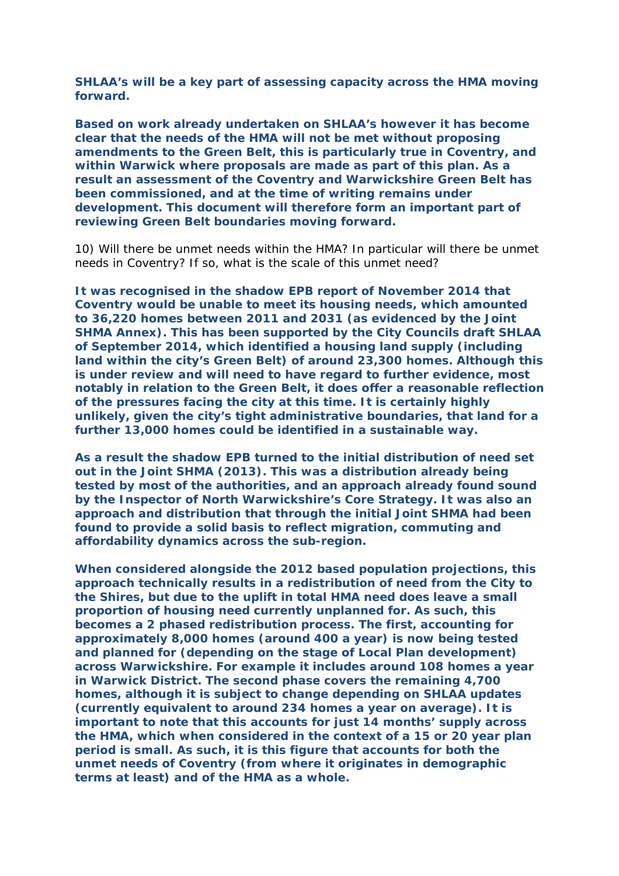**SHLAA's will be a key part of assessing capacity across the HMA moving forward.** 

**Based on work already undertaken on SHLAA's however it has become clear that the needs of the HMA will not be met without proposing amendments to the Green Belt, this is particularly true in Coventry, and within Warwick where proposals are made as part of this plan. As a result an assessment of the Coventry and Warwickshire Green Belt has been commissioned, and at the time of writing remains under development. This document will therefore form an important part of reviewing Green Belt boundaries moving forward.** 

10) Will there be unmet needs within the HMA? In particular will there be unmet needs in Coventry? If so, what is the scale of this unmet need?

**It was recognised in the shadow EPB report of November 2014 that Coventry would be unable to meet its housing needs, which amounted to 36,220 homes between 2011 and 2031 (as evidenced by the Joint SHMA Annex). This has been supported by the City Councils draft SHLAA of September 2014, which identified a housing land supply (including land within the city's Green Belt) of around 23,300 homes. Although this is under review and will need to have regard to further evidence, most notably in relation to the Green Belt, it does offer a reasonable reflection of the pressures facing the city at this time. It is certainly highly unlikely, given the city's tight administrative boundaries, that land for a further 13,000 homes could be identified in a sustainable way.** 

**As a result the shadow EPB turned to the initial distribution of need set out in the Joint SHMA (2013). This was a distribution already being tested by most of the authorities, and an approach already found sound by the Inspector of North Warwickshire's Core Strategy. It was also an approach and distribution that through the initial Joint SHMA had been found to provide a solid basis to reflect migration, commuting and affordability dynamics across the sub-region.** 

**When considered alongside the 2012 based population projections, this approach technically results in a redistribution of need from the City to the Shires, but due to the uplift in total HMA need does leave a small proportion of housing need currently unplanned for. As such, this becomes a 2 phased redistribution process. The first, accounting for approximately 8,000 homes (around 400 a year) is now being tested and planned for (depending on the stage of Local Plan development) across Warwickshire. For example it includes around 108 homes a year in Warwick District. The second phase covers the remaining 4,700 homes, although it is subject to change depending on SHLAA updates (currently equivalent to around 234 homes a year on average). It is important to note that this accounts for just 14 months' supply across the HMA, which when considered in the context of a 15 or 20 year plan period is small. As such, it is this figure that accounts for both the unmet needs of Coventry (from where it originates in demographic terms at least) and of the HMA as a whole.**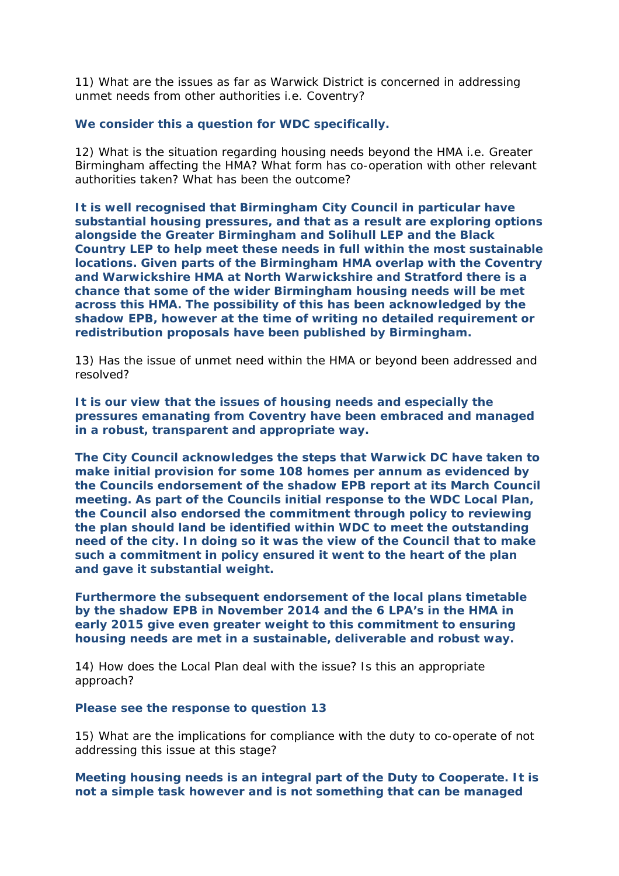11) What are the issues as far as Warwick District is concerned in addressing unmet needs from other authorities i.e. Coventry?

## **We consider this a question for WDC specifically.**

12) What is the situation regarding housing needs beyond the HMA i.e. Greater Birmingham affecting the HMA? What form has co-operation with other relevant authorities taken? What has been the outcome?

**It is well recognised that Birmingham City Council in particular have substantial housing pressures, and that as a result are exploring options alongside the Greater Birmingham and Solihull LEP and the Black Country LEP to help meet these needs in full within the most sustainable locations. Given parts of the Birmingham HMA overlap with the Coventry and Warwickshire HMA at North Warwickshire and Stratford there is a chance that some of the wider Birmingham housing needs will be met across this HMA. The possibility of this has been acknowledged by the shadow EPB, however at the time of writing no detailed requirement or redistribution proposals have been published by Birmingham.** 

13) Has the issue of unmet need within the HMA or beyond been addressed and resolved?

**It is our view that the issues of housing needs and especially the pressures emanating from Coventry have been embraced and managed in a robust, transparent and appropriate way.** 

**The City Council acknowledges the steps that Warwick DC have taken to make initial provision for some 108 homes per annum as evidenced by the Councils endorsement of the shadow EPB report at its March Council meeting. As part of the Councils initial response to the WDC Local Plan, the Council also endorsed the commitment through policy to reviewing the plan should land be identified within WDC to meet the outstanding need of the city. In doing so it was the view of the Council that to make such a commitment in policy ensured it went to the heart of the plan and gave it substantial weight.** 

**Furthermore the subsequent endorsement of the local plans timetable by the shadow EPB in November 2014 and the 6 LPA's in the HMA in early 2015 give even greater weight to this commitment to ensuring housing needs are met in a sustainable, deliverable and robust way.** 

14) How does the Local Plan deal with the issue? Is this an appropriate approach?

### **Please see the response to question 13**

15) What are the implications for compliance with the duty to co-operate of not addressing this issue at this stage?

**Meeting housing needs is an integral part of the Duty to Cooperate. It is not a simple task however and is not something that can be managed**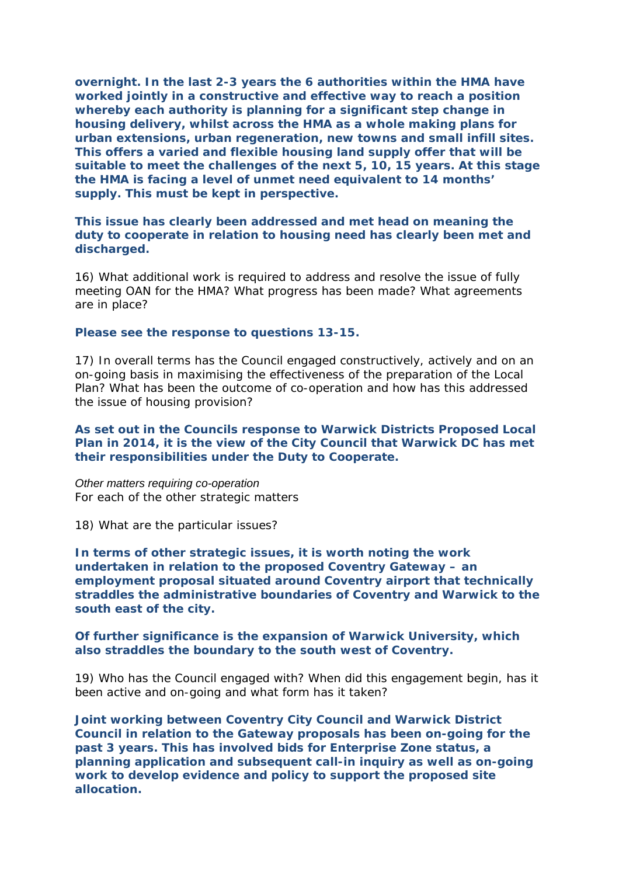**overnight. In the last 2-3 years the 6 authorities within the HMA have worked jointly in a constructive and effective way to reach a position whereby each authority is planning for a significant step change in housing delivery, whilst across the HMA as a whole making plans for urban extensions, urban regeneration, new towns and small infill sites. This offers a varied and flexible housing land supply offer that will be suitable to meet the challenges of the next 5, 10, 15 years. At this stage the HMA is facing a level of unmet need equivalent to 14 months' supply. This must be kept in perspective.** 

## **This issue has clearly been addressed and met head on meaning the duty to cooperate in relation to housing need has clearly been met and discharged.**

16) What additional work is required to address and resolve the issue of fully meeting OAN for the HMA? What progress has been made? What agreements are in place?

#### **Please see the response to questions 13-15.**

17) In overall terms has the Council engaged constructively, actively and on an on-going basis in maximising the effectiveness of the preparation of the Local Plan? What has been the outcome of co-operation and how has this addressed the issue of housing provision?

## **As set out in the Councils response to Warwick Districts Proposed Local Plan in 2014, it is the view of the City Council that Warwick DC has met their responsibilities under the Duty to Cooperate.**

*Other matters requiring co-operation*  For each of the other strategic matters

18) What are the particular issues?

**In terms of other strategic issues, it is worth noting the work undertaken in relation to the proposed Coventry Gateway – an employment proposal situated around Coventry airport that technically straddles the administrative boundaries of Coventry and Warwick to the south east of the city.** 

### **Of further significance is the expansion of Warwick University, which also straddles the boundary to the south west of Coventry.**

19) Who has the Council engaged with? When did this engagement begin, has it been active and on-going and what form has it taken?

**Joint working between Coventry City Council and Warwick District Council in relation to the Gateway proposals has been on-going for the past 3 years. This has involved bids for Enterprise Zone status, a planning application and subsequent call-in inquiry as well as on-going work to develop evidence and policy to support the proposed site allocation.**